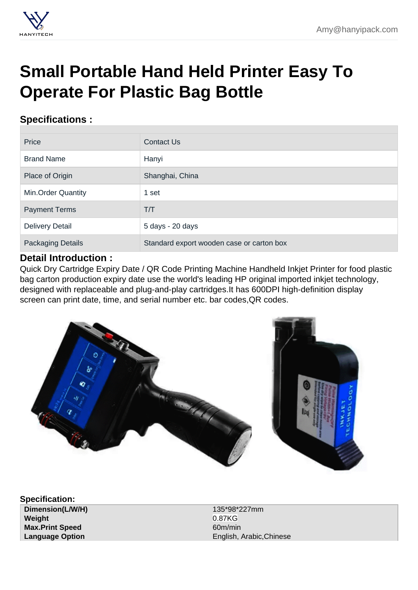## [Small Portable Hand Held Printer Easy To](https://hanyipack.com/handheld-inkjet-printer/small-portable-hand-held-printer-easy-to-operate-for-plastic-bag-bottle.html) Operate For Plastic Bag Bottle

## Specifications :

| Price                     | <b>Contact Us</b>                         |  |
|---------------------------|-------------------------------------------|--|
| <b>Brand Name</b>         | Hanyi                                     |  |
| Place of Origin           | Shanghai, China                           |  |
| <b>Min.Order Quantity</b> | 1 set                                     |  |
| <b>Payment Terms</b>      | T/T                                       |  |
| <b>Delivery Detail</b>    | 5 days - 20 days                          |  |
| <b>Packaging Details</b>  | Standard export wooden case or carton box |  |

## Detail Introduction :

Quick Dry Cartridge Expiry Date / QR Code Printing Machine Handheld Inkjet Printer for food plastic bag carton production expiry date use the world's leading HP original imported inkjet technology, designed with replaceable and plug-and-play cartridges.It has 600DPI high-definition display screen can print date, time, and serial number etc. bar codes,QR codes.

Specification: Dimension(L/W/H) 135\*98\*227mm Weight 0.87KG Max.Print Speed 60m/min

Language Option **English, Arabic,Chinese**